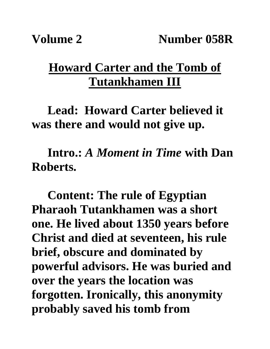## **Howard Carter and the Tomb of Tutankhamen III**

**Lead: Howard Carter believed it was there and would not give up.**

**Intro.:** *A Moment in Time* **with Dan Roberts.**

**Content: The rule of Egyptian Pharaoh Tutankhamen was a short one. He lived about 1350 years before Christ and died at seventeen, his rule brief, obscure and dominated by powerful advisors. He was buried and over the years the location was forgotten. Ironically, this anonymity probably saved his tomb from**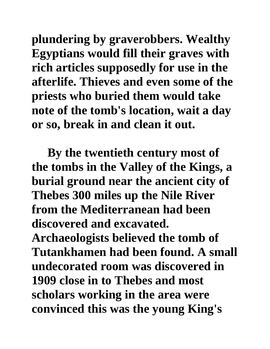**plundering by graverobbers. Wealthy Egyptians would fill their graves with rich articles supposedly for use in the afterlife. Thieves and even some of the priests who buried them would take note of the tomb's location, wait a day or so, break in and clean it out.** 

**By the twentieth century most of the tombs in the Valley of the Kings, a burial ground near the ancient city of Thebes 300 miles up the Nile River from the Mediterranean had been discovered and excavated. Archaeologists believed the tomb of Tutankhamen had been found. A small undecorated room was discovered in 1909 close in to Thebes and most scholars working in the area were convinced this was the young King's**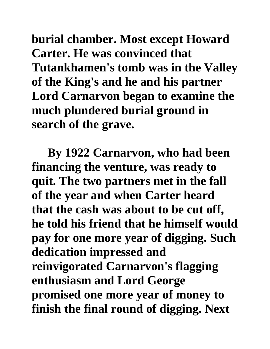**burial chamber. Most except Howard Carter. He was convinced that Tutankhamen's tomb was in the Valley of the King's and he and his partner Lord Carnarvon began to examine the much plundered burial ground in search of the grave.** 

**By 1922 Carnarvon, who had been financing the venture, was ready to quit. The two partners met in the fall of the year and when Carter heard that the cash was about to be cut off, he told his friend that he himself would pay for one more year of digging. Such dedication impressed and reinvigorated Carnarvon's flagging enthusiasm and Lord George promised one more year of money to finish the final round of digging. Next**